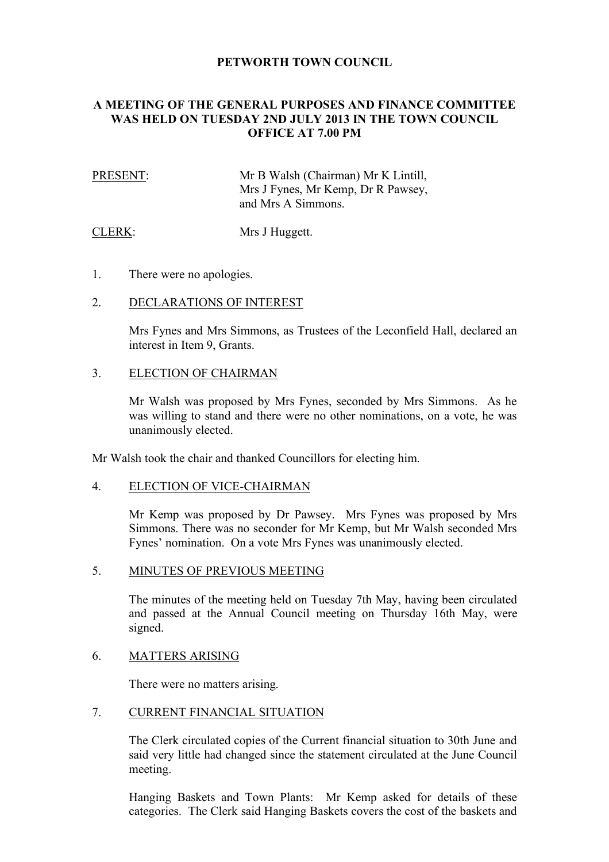# **PETWORTH TOWN COUNCIL**

# **A MEETING OF THE GENERAL PURPOSES AND FINANCE COMMITTEE WAS HELD ON TUESDAY 2ND JULY 2013 IN THE TOWN COUNCIL OFFICE AT 7.00 PM**

| PRESENT: | Mr B Walsh (Chairman) Mr K Lintill, |
|----------|-------------------------------------|
|          | Mrs J Fynes, Mr Kemp, Dr R Pawsey,  |
|          | and Mrs A Simmons.                  |

CLERK: Mrs J Huggett.

1. There were no apologies.

### 2. DECLARATIONS OF INTEREST

Mrs Fynes and Mrs Simmons, as Trustees of the Leconfield Hall, declared an interest in Item 9, Grants.

### 3. ELECTION OF CHAIRMAN

Mr Walsh was proposed by Mrs Fynes, seconded by Mrs Simmons. As he was willing to stand and there were no other nominations, on a vote, he was unanimously elected.

Mr Walsh took the chair and thanked Councillors for electing him.

### 4. ELECTION OF VICE-CHAIRMAN

Mr Kemp was proposed by Dr Pawsey. Mrs Fynes was proposed by Mrs Simmons. There was no seconder for Mr Kemp, but Mr Walsh seconded Mrs Fynes' nomination. On a vote Mrs Fynes was unanimously elected.

## 5. MINUTES OF PREVIOUS MEETING

The minutes of the meeting held on Tuesday 7th May, having been circulated and passed at the Annual Council meeting on Thursday 16th May, were signed.

### 6. MATTERS ARISING

There were no matters arising.

# 7. CURRENT FINANCIAL SITUATION

The Clerk circulated copies of the Current financial situation to 30th June and said very little had changed since the statement circulated at the June Council meeting.

Hanging Baskets and Town Plants: Mr Kemp asked for details of these categories. The Clerk said Hanging Baskets covers the cost of the baskets and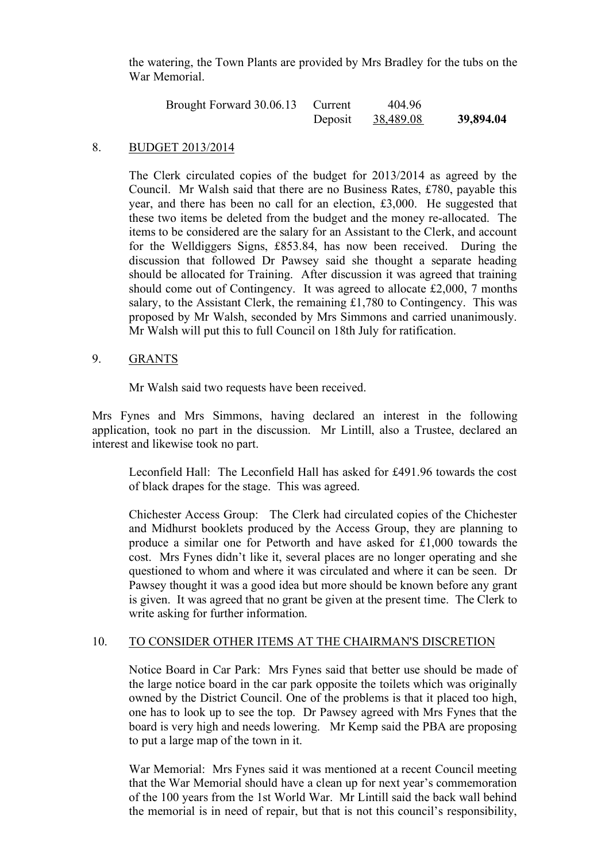the watering, the Town Plants are provided by Mrs Bradley for the tubs on the War Memorial.

| Brought Forward 30.06.13 | Current | 404.96    |           |
|--------------------------|---------|-----------|-----------|
|                          | Deposit | 38,489.08 | 39,894.04 |

### 8. BUDGET 2013/2014

The Clerk circulated copies of the budget for 2013/2014 as agreed by the Council. Mr Walsh said that there are no Business Rates, £780, payable this year, and there has been no call for an election, £3,000. He suggested that these two items be deleted from the budget and the money re-allocated. The items to be considered are the salary for an Assistant to the Clerk, and account for the Welldiggers Signs, £853.84, has now been received. During the discussion that followed Dr Pawsey said she thought a separate heading should be allocated for Training. After discussion it was agreed that training should come out of Contingency. It was agreed to allocate £2,000, 7 months salary, to the Assistant Clerk, the remaining £1,780 to Contingency. This was proposed by Mr Walsh, seconded by Mrs Simmons and carried unanimously. Mr Walsh will put this to full Council on 18th July for ratification.

#### 9. GRANTS

Mr Walsh said two requests have been received.

Mrs Fynes and Mrs Simmons, having declared an interest in the following application, took no part in the discussion. Mr Lintill, also a Trustee, declared an interest and likewise took no part.

Leconfield Hall: The Leconfield Hall has asked for £491.96 towards the cost of black drapes for the stage. This was agreed.

Chichester Access Group: The Clerk had circulated copies of the Chichester and Midhurst booklets produced by the Access Group, they are planning to produce a similar one for Petworth and have asked for £1,000 towards the cost. Mrs Fynes didn't like it, several places are no longer operating and she questioned to whom and where it was circulated and where it can be seen. Dr Pawsey thought it was a good idea but more should be known before any grant is given. It was agreed that no grant be given at the present time. The Clerk to write asking for further information.

#### 10. TO CONSIDER OTHER ITEMS AT THE CHAIRMAN'S DISCRETION

Notice Board in Car Park: Mrs Fynes said that better use should be made of the large notice board in the car park opposite the toilets which was originally owned by the District Council. One of the problems is that it placed too high, one has to look up to see the top. Dr Pawsey agreed with Mrs Fynes that the board is very high and needs lowering. Mr Kemp said the PBA are proposing to put a large map of the town in it.

War Memorial: Mrs Fynes said it was mentioned at a recent Council meeting that the War Memorial should have a clean up for next year's commemoration of the 100 years from the 1st World War. Mr Lintill said the back wall behind the memorial is in need of repair, but that is not this council's responsibility,